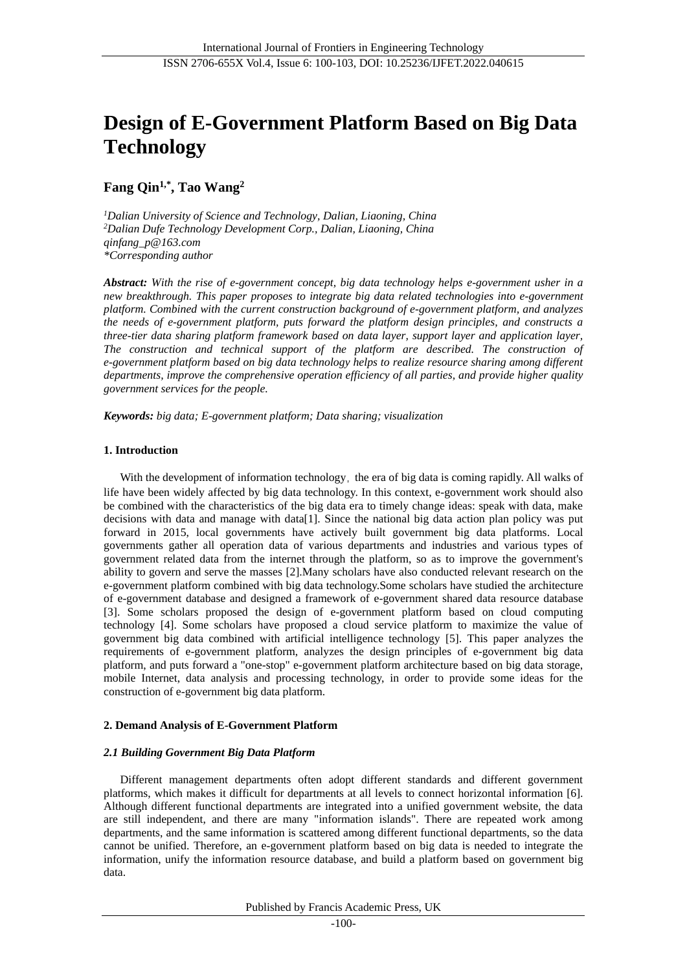# **Design of E-Government Platform Based on Big Data Technology**

## **Fang Qin1,\* , Tao Wang<sup>2</sup>**

*<sup>1</sup>Dalian University of Science and Technology, Dalian, Liaoning, China <sup>2</sup>Dalian Dufe Technology Development Corp., Dalian, Liaoning, China qinfang\_p@163.com \*Corresponding author*

*Abstract: With the rise of e-government concept, big data technology helps e-government usher in a new breakthrough. This paper proposes to integrate big data related technologies into e-government platform. Combined with the current construction background of e-government platform, and analyzes the needs of e-government platform, puts forward the platform design principles, and constructs a three-tier data sharing platform framework based on data layer, support layer and application layer, The construction and technical support of the platform are described. The construction of e-government platform based on big data technology helps to realize resource sharing among different departments, improve the comprehensive operation efficiency of all parties, and provide higher quality government services for the people.*

*Keywords: big data; E-government platform; Data sharing; visualization*

## **1. Introduction**

With the development of information technology, the era of big data is coming rapidly. All walks of life have been widely affected by big data technology. In this context, e-government work should also be combined with the characteristics of the big data era to timely change ideas: speak with data, make decisions with data and manage with data[1]. Since the national big data action plan policy was put forward in 2015, local governments have actively built government big data platforms. Local governments gather all operation data of various departments and industries and various types of government related data from the internet through the platform, so as to improve the government's ability to govern and serve the masses [2].Many scholars have also conducted relevant research on the e-government platform combined with big data technology.Some scholars have studied the architecture of e-government database and designed a framework of e-government shared data resource database [3]. Some scholars proposed the design of e-government platform based on cloud computing technology [4]. Some scholars have proposed a cloud service platform to maximize the value of government big data combined with artificial intelligence technology [5]. This paper analyzes the requirements of e-government platform, analyzes the design principles of e-government big data platform, and puts forward a "one-stop" e-government platform architecture based on big data storage, mobile Internet, data analysis and processing technology, in order to provide some ideas for the construction of e-government big data platform.

## **2. Demand Analysis of E-Government Platform**

## *2.1 Building Government Big Data Platform*

Different management departments often adopt different standards and different government platforms, which makes it difficult for departments at all levels to connect horizontal information [6]. Although different functional departments are integrated into a unified government website, the data are still independent, and there are many "information islands". There are repeated work among departments, and the same information is scattered among different functional departments, so the data cannot be unified. Therefore, an e-government platform based on big data is needed to integrate the information, unify the information resource database, and build a platform based on government big data.

Published by Francis Academic Press, UK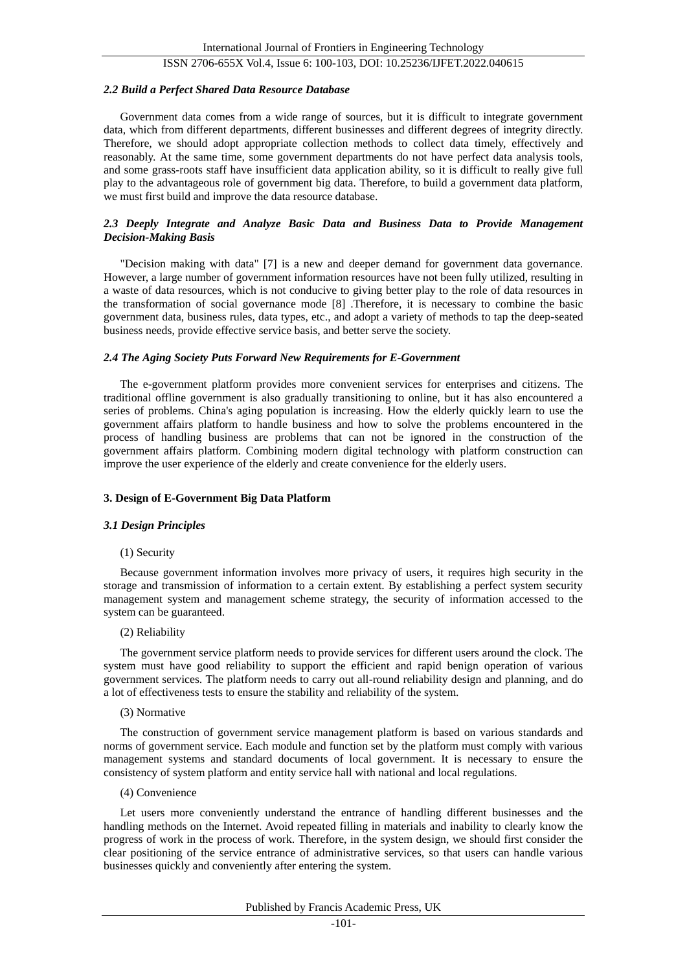## ISSN 2706-655X Vol.4, Issue 6: 100-103, DOI: 10.25236/IJFET.2022.040615

#### *2.2 Build a Perfect Shared Data Resource Database*

Government data comes from a wide range of sources, but it is difficult to integrate government data, which from different departments, different businesses and different degrees of integrity directly. Therefore, we should adopt appropriate collection methods to collect data timely, effectively and reasonably. At the same time, some government departments do not have perfect data analysis tools, and some grass-roots staff have insufficient data application ability, so it is difficult to really give full play to the advantageous role of government big data. Therefore, to build a government data platform, we must first build and improve the data resource database.

## *2.3 Deeply Integrate and Analyze Basic Data and Business Data to Provide Management Decision-Making Basis*

"Decision making with data" [7] is a new and deeper demand for government data governance. However, a large number of government information resources have not been fully utilized, resulting in a waste of data resources, which is not conducive to giving better play to the role of data resources in the transformation of social governance mode [8] .Therefore, it is necessary to combine the basic government data, business rules, data types, etc., and adopt a variety of methods to tap the deep-seated business needs, provide effective service basis, and better serve the society.

#### *2.4 The Aging Society Puts Forward New Requirements for E-Government*

The e-government platform provides more convenient services for enterprises and citizens. The traditional offline government is also gradually transitioning to online, but it has also encountered a series of problems. China's aging population is increasing. How the elderly quickly learn to use the government affairs platform to handle business and how to solve the problems encountered in the process of handling business are problems that can not be ignored in the construction of the government affairs platform. Combining modern digital technology with platform construction can improve the user experience of the elderly and create convenience for the elderly users.

#### **3. Design of E-Government Big Data Platform**

#### *3.1 Design Principles*

#### (1) Security

Because government information involves more privacy of users, it requires high security in the storage and transmission of information to a certain extent. By establishing a perfect system security management system and management scheme strategy, the security of information accessed to the system can be guaranteed.

#### (2) Reliability

The government service platform needs to provide services for different users around the clock. The system must have good reliability to support the efficient and rapid benign operation of various government services. The platform needs to carry out all-round reliability design and planning, and do a lot of effectiveness tests to ensure the stability and reliability of the system.

#### (3) Normative

The construction of government service management platform is based on various standards and norms of government service. Each module and function set by the platform must comply with various management systems and standard documents of local government. It is necessary to ensure the consistency of system platform and entity service hall with national and local regulations.

#### (4) Convenience

Let users more conveniently understand the entrance of handling different businesses and the handling methods on the Internet. Avoid repeated filling in materials and inability to clearly know the progress of work in the process of work. Therefore, in the system design, we should first consider the clear positioning of the service entrance of administrative services, so that users can handle various businesses quickly and conveniently after entering the system.

#### Published by Francis Academic Press, UK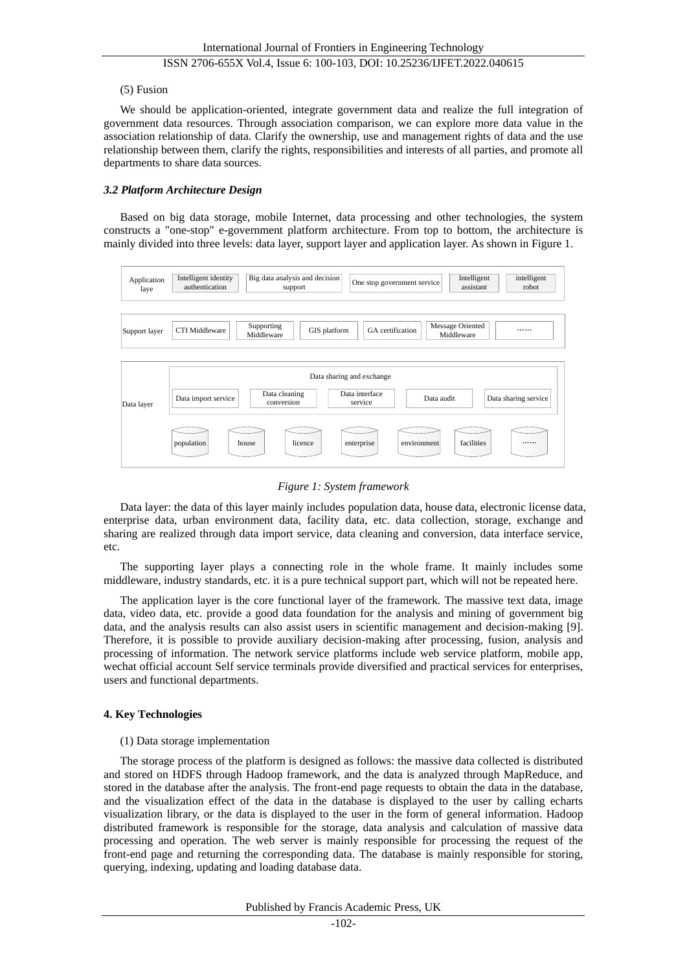## (5) Fusion

We should be application-oriented, integrate government data and realize the full integration of government data resources. Through association comparison, we can explore more data value in the association relationship of data. Clarify the ownership, use and management rights of data and the use relationship between them, clarify the rights, responsibilities and interests of all parties, and promote all departments to share data sources.

## *3.2 Platform Architecture Design*

Based on big data storage, mobile Internet, data processing and other technologies, the system constructs a "one-stop" e-government platform architecture. From top to bottom, the architecture is mainly divided into three levels: data layer, support layer and application layer. As shown in Figure 1.



*Figure 1: System framework*

Data layer: the data of this layer mainly includes population data, house data, electronic license data, enterprise data, urban environment data, facility data, etc. data collection, storage, exchange and sharing are realized through data import service, data cleaning and conversion, data interface service, etc.

The supporting layer plays a connecting role in the whole frame. It mainly includes some middleware, industry standards, etc. it is a pure technical support part, which will not be repeated here.

The application layer is the core functional layer of the framework. The massive text data, image data, video data, etc. provide a good data foundation for the analysis and mining of government big data, and the analysis results can also assist users in scientific management and decision-making [9]. Therefore, it is possible to provide auxiliary decision-making after processing, fusion, analysis and processing of information. The network service platforms include web service platform, mobile app, wechat official account Self service terminals provide diversified and practical services for enterprises, users and functional departments.

## **4. Key Technologies**

## (1) Data storage implementation

The storage process of the platform is designed as follows: the massive data collected is distributed and stored on HDFS through Hadoop framework, and the data is analyzed through MapReduce, and stored in the database after the analysis. The front-end page requests to obtain the data in the database, and the visualization effect of the data in the database is displayed to the user by calling echarts visualization library, or the data is displayed to the user in the form of general information. Hadoop distributed framework is responsible for the storage, data analysis and calculation of massive data processing and operation. The web server is mainly responsible for processing the request of the front-end page and returning the corresponding data. The database is mainly responsible for storing, querying, indexing, updating and loading database data.

Published by Francis Academic Press, UK